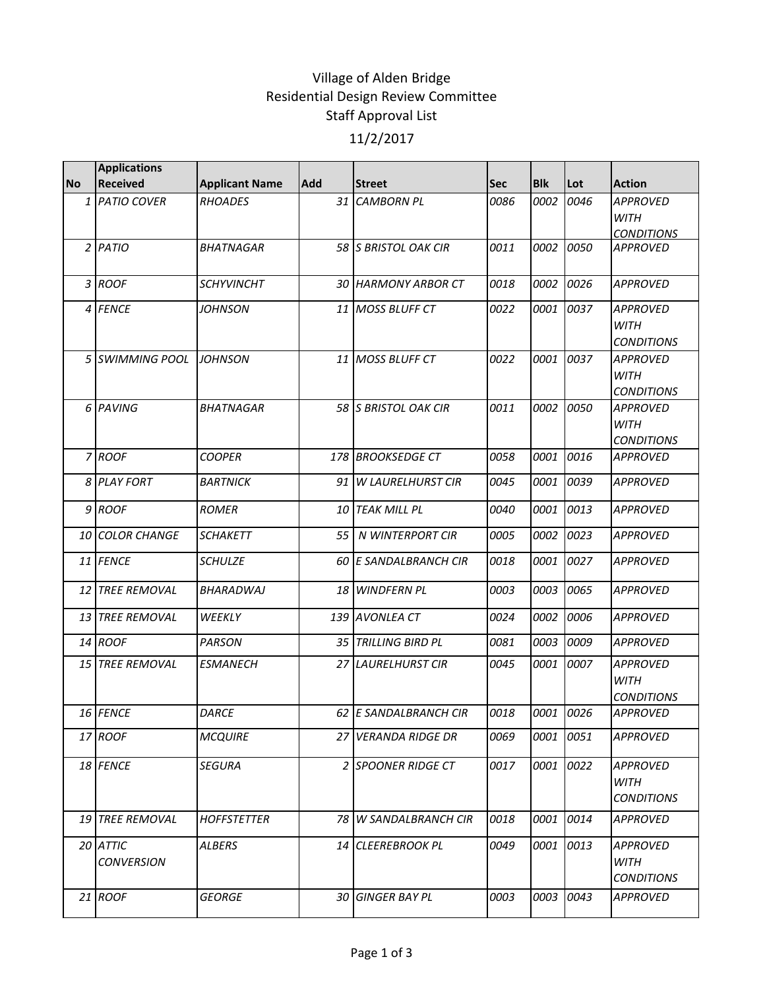## Village of Alden Bridge Residential Design Review Committee Staff Approval List 11/2/2017

|           | <b>Applications</b>           |                       |     |                              |            |            |      |                                                     |
|-----------|-------------------------------|-----------------------|-----|------------------------------|------------|------------|------|-----------------------------------------------------|
| <b>No</b> | <b>Received</b>               | <b>Applicant Name</b> | Add | <b>Street</b>                | <b>Sec</b> | <b>Blk</b> | Lot  | <b>Action</b>                                       |
|           | 1 PATIO COVER                 | RHOADES               | 31  | <b>CAMBORN PL</b>            | 0086       | 0002       | 0046 | <b>APPROVED</b><br><b>WITH</b><br><b>CONDITIONS</b> |
|           | $2$ PATIO                     | <b>BHATNAGAR</b>      |     | 58 S BRISTOL OAK CIR         | 0011       | 0002       | 0050 | <b>APPROVED</b>                                     |
|           | 3 ROOF                        | <b>SCHYVINCHT</b>     |     | <b>30 HARMONY ARBOR CT</b>   | 0018       | 0002       | 0026 | <b>APPROVED</b>                                     |
|           | 4 FENCE                       | <b>JOHNSON</b>        |     | 11 MOSS BLUFF CT             | 0022       | 0001       | 0037 | <b>APPROVED</b><br><b>WITH</b><br><b>CONDITIONS</b> |
|           | 5 SWIMMING POOL               | <b>IJOHNSON</b>       |     | 11 MOSS BLUFF CT             | 0022       | 0001       | 0037 | <b>APPROVED</b><br><b>WITH</b><br><b>CONDITIONS</b> |
|           | 6 PAVING                      | <b>BHATNAGAR</b>      |     | 58 S BRISTOL OAK CIR         | 0011       | 0002       | 0050 | <b>APPROVED</b><br><b>WITH</b><br><b>CONDITIONS</b> |
|           | 7 ROOF                        | <b>COOPER</b>         |     | 178 BROOKSEDGE CT            | 0058       | 0001       | 0016 | <b>APPROVED</b>                                     |
|           | 8 PLAY FORT                   | <b>BARTNICK</b>       |     | 91 W LAURELHURST CIR         | 0045       | 0001       | 0039 | <b>APPROVED</b>                                     |
|           | 9 ROOF                        | ROMER                 | 10  | <b>TEAK MILL PL</b>          | 0040       | 0001       | 0013 | <b>APPROVED</b>                                     |
|           | <b>10 COLOR CHANGE</b>        | <b>SCHAKETT</b>       | 55  | <b>N WINTERPORT CIR</b>      | 0005       | 0002       | 0023 | <b>APPROVED</b>                                     |
|           | 11 FENCE                      | <b>SCHULZE</b>        |     | <b>60 E SANDALBRANCH CIR</b> | 0018       | 0001       | 0027 | <b>APPROVED</b>                                     |
|           | <b>12 TREE REMOVAL</b>        | <b>BHARADWAJ</b>      |     | 18 WINDFERN PL               | 0003       | 0003       | 0065 | <b>APPROVED</b>                                     |
|           | 13 TREE REMOVAL               | WEEKLY                |     | 139 AVONLEA CT               | 0024       | 0002       | 0006 | <b>APPROVED</b>                                     |
|           | 14 ROOF                       | <b>PARSON</b>         |     | <b>35 TRILLING BIRD PL</b>   | 0081       | 0003       | 0009 | <b>APPROVED</b>                                     |
|           | 15 TREE REMOVAL               | <b>ESMANECH</b>       |     | 27 LAURELHURST CIR           | 0045       | 0001       | 0007 | <b>APPROVED</b><br><b>WITH</b><br><b>CONDITIONS</b> |
|           | 16 FENCE                      | <b>DARCE</b>          |     | 62 E SANDALBRANCH CIR        | 0018       | 0001       | 0026 | <b>APPROVED</b>                                     |
|           | 17 ROOF                       | <b>MCQUIRE</b>        | 27  | <b>VERANDA RIDGE DR</b>      | 0069       | 0001       | 0051 | APPROVED                                            |
|           | 18 FENCE                      | <b>SEGURA</b>         |     | 2 SPOONER RIDGE CT           | 0017       | 0001       | 0022 | <b>APPROVED</b><br>WITH<br><b>CONDITIONS</b>        |
|           | 19 TREE REMOVAL               | <b>HOFFSTETTER</b>    | 78  | <b>W SANDALBRANCH CIR</b>    | 0018       | 0001       | 0014 | <b>APPROVED</b>                                     |
|           | 20 ATTIC<br><b>CONVERSION</b> | <b>ALBERS</b>         |     | 14 CLEEREBROOK PL            | 0049       | 0001       | 0013 | <b>APPROVED</b><br><b>WITH</b><br><b>CONDITIONS</b> |
|           | 21 ROOF                       | <b>GEORGE</b>         | 30  | <b>GINGER BAY PL</b>         | 0003       | 0003       | 0043 | <b>APPROVED</b>                                     |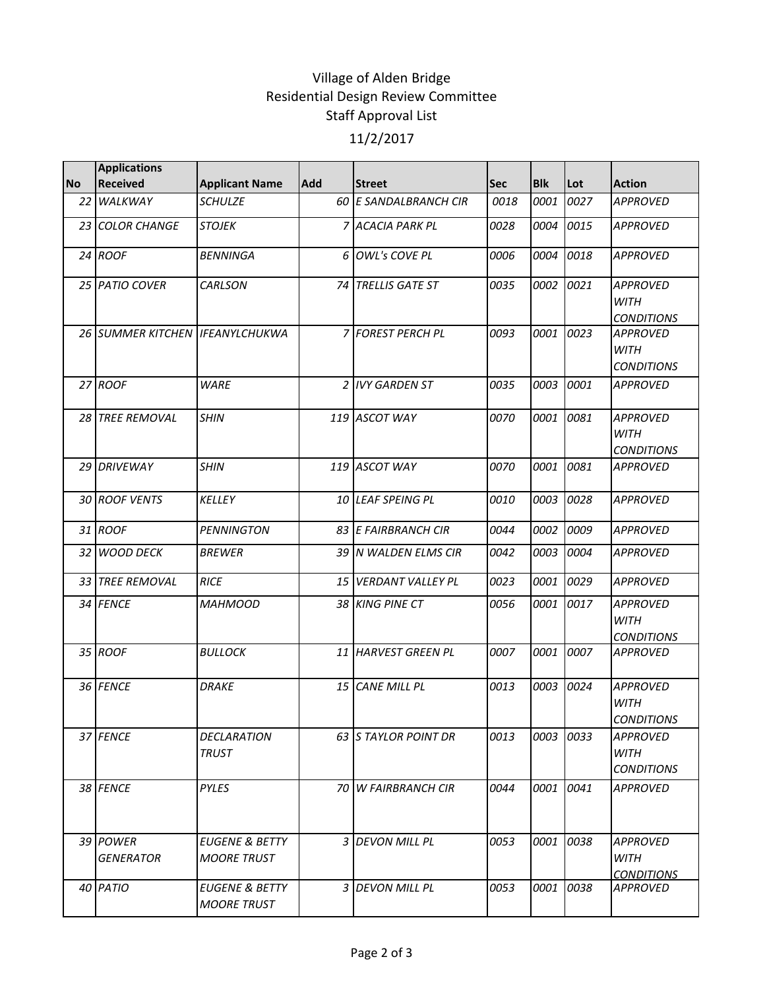## Village of Alden Bridge Residential Design Review Committee Staff Approval List 11/2/2017

|                 | <b>Applications</b>             |                                                 |     |                       |            |            |      |                                                     |
|-----------------|---------------------------------|-------------------------------------------------|-----|-----------------------|------------|------------|------|-----------------------------------------------------|
| <b>No</b>       | <b>Received</b>                 | <b>Applicant Name</b>                           | Add | <b>Street</b>         | <b>Sec</b> | <b>Blk</b> | Lot  | <b>Action</b>                                       |
| 22 <sub>1</sub> | WALKWAY                         | <b>SCHULZE</b>                                  |     | 60 E SANDALBRANCH CIR | 0018       | 0001       | 0027 | <b>APPROVED</b>                                     |
|                 | 23 COLOR CHANGE                 | <b>STOJEK</b>                                   |     | 7 ACACIA PARK PL      | 0028       | 0004       | 0015 | <b>APPROVED</b>                                     |
|                 | $24$ ROOF                       | <b>BENNINGA</b>                                 |     | 6 OWL's COVE PL       | 0006       | 0004       | 0018 | <b>APPROVED</b>                                     |
|                 | 25 PATIO COVER                  | CARLSON                                         |     | 74 TRELLIS GATE ST    | 0035       | 0002       | 0021 | <b>APPROVED</b><br><b>WITH</b><br><b>CONDITIONS</b> |
|                 | 26 SUMMER KITCHEN IFEANYLCHUKWA |                                                 |     | 7 FOREST PERCH PL     | 0093       | 0001       | 0023 | <b>APPROVED</b><br><b>WITH</b><br><b>CONDITIONS</b> |
|                 | 27 ROOF                         | <b>WARE</b>                                     |     | 2 IVY GARDEN ST       | 0035       | 0003       | 0001 | <b>APPROVED</b>                                     |
|                 | 28 TREE REMOVAL                 | <b>SHIN</b>                                     |     | 119 ASCOT WAY         | 0070       | 0001       | 0081 | <b>APPROVED</b><br><b>WITH</b><br><b>CONDITIONS</b> |
|                 | 29 DRIVEWAY                     | <b>SHIN</b>                                     |     | 119 ASCOT WAY         | 0070       | 0001       | 0081 | <b>APPROVED</b>                                     |
|                 | 30 ROOF VENTS                   | <b>KELLEY</b>                                   |     | 10 LEAF SPEING PL     | 0010       | 0003       | 0028 | <b>APPROVED</b>                                     |
|                 | 31 ROOF                         | <b>PENNINGTON</b>                               |     | 83 E FAIRBRANCH CIR   | 0044       | 0002       | 0009 | <b>APPROVED</b>                                     |
|                 | 32 WOOD DECK                    | <b>BREWER</b>                                   |     | 39 N WALDEN ELMS CIR  | 0042       | 0003       | 0004 | <b>APPROVED</b>                                     |
|                 | 33 TREE REMOVAL                 | <b>RICE</b>                                     |     | 15 VERDANT VALLEY PL  | 0023       | 0001       | 0029 | <b>APPROVED</b>                                     |
|                 | 34 FENCE                        | <b>MAHMOOD</b>                                  |     | 38 KING PINE CT       | 0056       | 0001       | 0017 | <b>APPROVED</b><br><b>WITH</b><br><b>CONDITIONS</b> |
|                 | 35 ROOF                         | <b>BULLOCK</b>                                  |     | 11 HARVEST GREEN PL   | 0007       | 0001       | 0007 | <b>APPROVED</b>                                     |
|                 | 36 FENCE                        | <b>DRAKE</b>                                    |     | 15 CANE MILL PL       | 0013       | 0003       | 0024 | <b>APPROVED</b><br><b>WITH</b><br><b>CONDITIONS</b> |
|                 | 37 FENCE                        | DECLARATION<br><b>TRUST</b>                     |     | 63 S TAYLOR POINT DR  | 0013       | 0003       | 0033 | APPROVED<br><b>WITH</b><br><b>CONDITIONS</b>        |
|                 | 38 FENCE                        | PYLES                                           |     | 70 W FAIRBRANCH CIR   | 0044       | 0001       | 0041 | <b>APPROVED</b>                                     |
|                 | 39 POWER<br><b>GENERATOR</b>    | <b>EUGENE &amp; BETTY</b><br><b>MOORE TRUST</b> |     | 3 DEVON MILL PL       | 0053       | 0001       | 0038 | <b>APPROVED</b><br>WITH<br><b>CONDITIONS</b>        |
|                 | 40 PATIO                        | EUGENE & BETTY<br><b>MOORE TRUST</b>            |     | 3 DEVON MILL PL       | 0053       | 0001       | 0038 | <b>APPROVED</b>                                     |